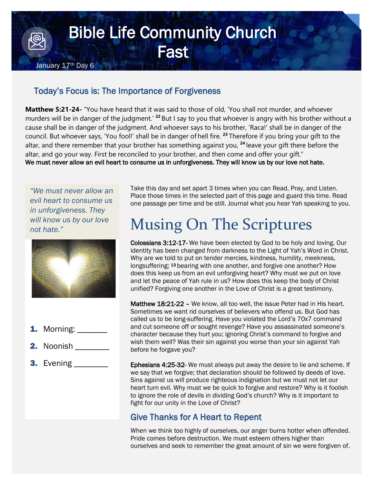## Bible Life Community Church **Fast** January 17<sup>th</sup> Day 6

## Today's Focus is: The Importance of Forgiveness

**Matthew 5:21-24-** "You have heard that it was said to those of old, 'You shall not murder, and whoever murders will be in danger of the judgment.' **<sup>22</sup>** But I say to you that whoever is angry with his brother without a cause shall be in danger of the judgment. And whoever says to his brother, 'Raca!' shall be in danger of the council. But whoever says, 'You fool!' shall be in danger of hell fire. **<sup>23</sup>** Therefore if you bring your gift to the altar, and there remember that your brother has something against you, **<sup>24</sup>** leave your gift there before the altar, and go your way. First be reconciled to your brother, and then come and offer your gift." We must never allow an evil heart to consume us in unforgiveness. They will know us by our love not hate.

*"We must never allow an evil heart to consume us in unforgiveness. They will know us by our love not hate."*



- **1.** Morning: \_\_\_\_\_\_\_
- 2. Noonish
- **3.** Evening \_\_\_\_\_\_\_\_\_

Take this day and set apart 3 times when you can Read, Pray, and Listen. Place those times in the selected part of this page and guard this time. Read one passage per time and be still. Journal what you hear Yah speaking to you.

## Musing On The Scriptures

Colossians 3:12-17- We have been elected by God to be holy and loving. Our identity has been changed from darkness to the Light of Yah's Word in Christ. Why are we told to put on tender mercies, kindness, humility, meekness, longsuffering; 13 bearing with one another, and forgive one another? How does this keep us from an evil unforgiving heart? Why must we put on love and let the peace of Yah rule in us? How does this keep the body of Christ unified? Forgiving one another in the Love of Christ is a great testimony.

Matthew 18:21-22 - We know, all too well, the issue Peter had in His heart. Sometimes we want rid ourselves of believers who offend us. But God has called us to be long-suffering. Have you violated the Lord's 70x7 command and cut someone off or sought revenge? Have you assassinated someone's character because they hurt you; ignoring Christ's command to forgive and wish them well? Was their sin against you worse than your sin against Yah before he forgave you?

Ephesians 4:25-32- We must always put away the desire to lie and scheme. If we say that we forgive; that declaration should be followed by deeds of love. Sins against us will produce righteous indignation but we must not let our heart turn evil. Why must we be quick to forgive and restore? Why is it foolish to ignore the role of devils in dividing God's church? Why is it important to fight for our unity in the Love of Christ?

## Give Thanks for A Heart to Repent

When we think too highly of ourselves, our anger burns hotter when offended. Pride comes before destruction. We must esteem others higher than ourselves and seek to remember the great amount of sin we were forgiven of.